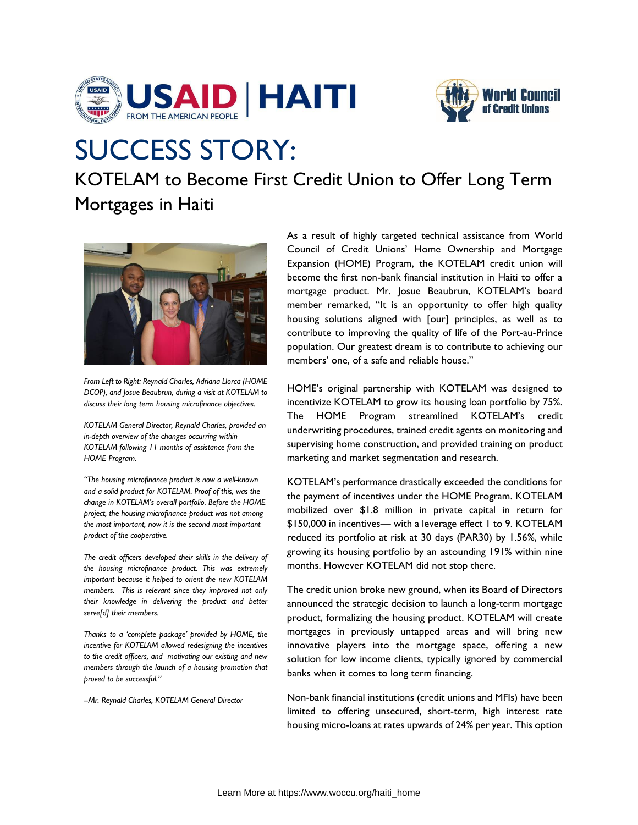



## SUCCESS STORY:

KOTELAM to Become First Credit Union to Offer Long Term Mortgages in Haiti



*From Left to Right: Reynald Charles, Adriana Llorca (HOME DCOP), and Josue Beaubrun, during a visit at KOTELAM to discuss their long term housing microfinance objectives.* 

*KOTELAM General Director, Reynald Charles, provided an in-depth overview of the changes occurring within KOTELAM following 11 months of assistance from the HOME Program.* 

*"The housing microfinance product is now a well-known and a solid product for KOTELAM. Proof of this, was the change in KOTELAM's overall portfolio. Before the HOME project, the housing microfinance product was not among the most important, now it is the second most important product of the cooperative.*

*The credit officers developed their skills in the delivery of the housing microfinance product. This was extremely important because it helped to orient the new KOTELAM members. This is relevant since they improved not only their knowledge in delivering the product and better serve[d] their members.* 

*Thanks to a 'complete package' provided by HOME, the incentive for KOTELAM allowed redesigning the incentives to the credit officers, and motivating our existing and new members through the launch of a housing promotion that proved to be successful."*

*--Mr. Reynald Charles, KOTELAM General Director* 

As a result of highly targeted technical assistance from World Council of Credit Unions' Home Ownership and Mortgage Expansion (HOME) Program, the KOTELAM credit union will become the first non-bank financial institution in Haiti to offer a mortgage product. Mr. Josue Beaubrun, KOTELAM's board member remarked, "It is an opportunity to offer high quality housing solutions aligned with [our] principles, as well as to contribute to improving the quality of life of the Port-au-Prince population. Our greatest dream is to contribute to achieving our members' one, of a safe and reliable house."

HOME's original partnership with KOTELAM was designed to incentivize KOTELAM to grow its housing loan portfolio by 75%. The HOME Program streamlined KOTELAM's credit underwriting procedures, trained credit agents on monitoring and supervising home construction, and provided training on product marketing and market segmentation and research.

KOTELAM's performance drastically exceeded the conditions for the payment of incentives under the HOME Program. KOTELAM mobilized over \$1.8 million in private capital in return for \$150,000 in incentives— with a leverage effect 1 to 9. KOTELAM reduced its portfolio at risk at 30 days (PAR30) by 1.56%, while growing its housing portfolio by an astounding 191% within nine months. However KOTELAM did not stop there.

The credit union broke new ground, when its Board of Directors announced the strategic decision to launch a long-term mortgage product, formalizing the housing product. KOTELAM will create mortgages in previously untapped areas and will bring new innovative players into the mortgage space, offering a new solution for low income clients, typically ignored by commercial banks when it comes to long term financing.

Non-bank financial institutions (credit unions and MFIs) have been limited to offering unsecured, short-term, high interest rate housing micro-loans at rates upwards of 24% per year. This option